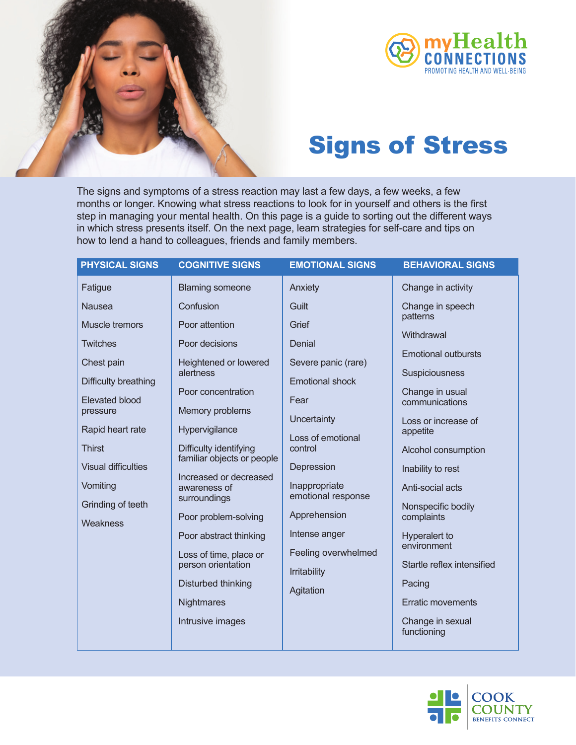



## Signs of Stress

The signs and symptoms of a stress reaction may last a few days, a few weeks, a few months or longer. Knowing what stress reactions to look for in yourself and others is the first step in managing your mental health. On this page is a guide to sorting out the different ways in which stress presents itself. On the next page, learn strategies for self-care and tips on how to lend a hand to colleagues, friends and family members.

| <b>PHYSICAL SIGNS</b>                                                                                                                                                                                                        | <b>COGNITIVE SIGNS</b>                                                                                                                                                                                                                                                                                                                                                                                        | <b>EMOTIONAL SIGNS</b>                                                                                                                                                                                                                                            | <b>BEHAVIORAL SIGNS</b>                                                                                                                                                                                                                                                                                                                                                                   |
|------------------------------------------------------------------------------------------------------------------------------------------------------------------------------------------------------------------------------|---------------------------------------------------------------------------------------------------------------------------------------------------------------------------------------------------------------------------------------------------------------------------------------------------------------------------------------------------------------------------------------------------------------|-------------------------------------------------------------------------------------------------------------------------------------------------------------------------------------------------------------------------------------------------------------------|-------------------------------------------------------------------------------------------------------------------------------------------------------------------------------------------------------------------------------------------------------------------------------------------------------------------------------------------------------------------------------------------|
| Fatigue                                                                                                                                                                                                                      | <b>Blaming someone</b>                                                                                                                                                                                                                                                                                                                                                                                        | Anxiety                                                                                                                                                                                                                                                           | Change in activity                                                                                                                                                                                                                                                                                                                                                                        |
| <b>Nausea</b>                                                                                                                                                                                                                | Confusion                                                                                                                                                                                                                                                                                                                                                                                                     | Guilt                                                                                                                                                                                                                                                             | Change in speech                                                                                                                                                                                                                                                                                                                                                                          |
| Muscle tremors<br><b>Twitches</b><br>Chest pain<br>Difficulty breathing<br><b>Elevated blood</b><br>pressure<br>Rapid heart rate<br><b>Thirst</b><br><b>Visual difficulties</b><br>Vomiting<br>Grinding of teeth<br>Weakness | Poor attention<br>Poor decisions<br>Heightened or lowered<br>alertness<br>Poor concentration<br>Memory problems<br>Hypervigilance<br>Difficulty identifying<br>familiar objects or people<br>Increased or decreased<br>awareness of<br>surroundings<br>Poor problem-solving<br>Poor abstract thinking<br>Loss of time, place or<br>person orientation<br>Disturbed thinking<br>Nightmares<br>Intrusive images | Grief<br>Denial<br>Severe panic (rare)<br><b>Emotional shock</b><br>Fear<br>Uncertainty<br>Loss of emotional<br>control<br>Depression<br>Inappropriate<br>emotional response<br>Apprehension<br>Intense anger<br>Feeling overwhelmed<br>Irritability<br>Agitation | patterns<br>Withdrawal<br><b>Emotional outbursts</b><br>Suspiciousness<br>Change in usual<br>communications<br>Loss or increase of<br>appetite<br>Alcohol consumption<br>Inability to rest<br>Anti-social acts<br>Nonspecific bodily<br>complaints<br>Hyperalert to<br>environment<br>Startle reflex intensified<br>Pacing<br><b>Erratic movements</b><br>Change in sexual<br>functioning |
|                                                                                                                                                                                                                              |                                                                                                                                                                                                                                                                                                                                                                                                               |                                                                                                                                                                                                                                                                   |                                                                                                                                                                                                                                                                                                                                                                                           |